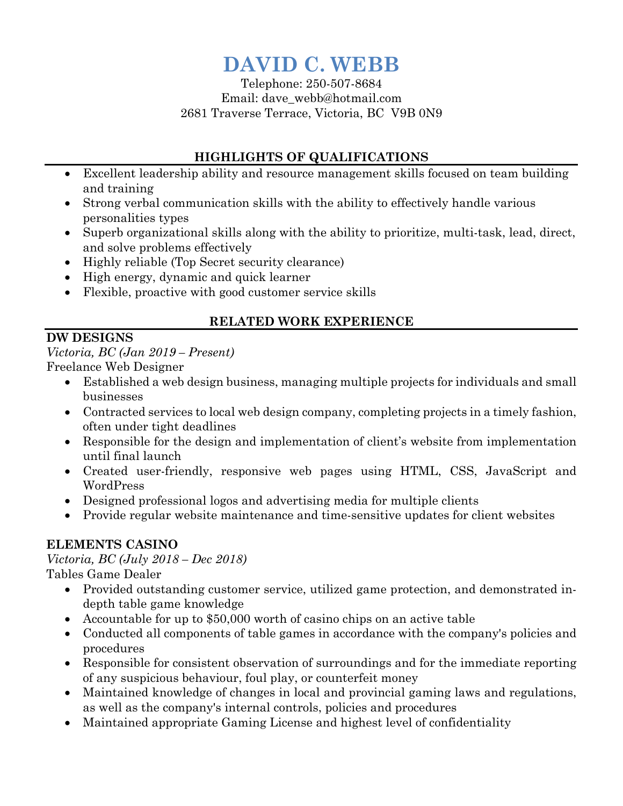# **DAVID C. WEBB**

Telephone: 250-507-8684 Email: dave\_webb@hotmail.com 2681 Traverse Terrace, Victoria, BC V9B 0N9

### **HIGHLIGHTS OF QUALIFICATIONS**

- Excellent leadership ability and resource management skills focused on team building and training
- Strong verbal communication skills with the ability to effectively handle various personalities types
- Superb organizational skills along with the ability to prioritize, multi-task, lead, direct, and solve problems effectively
- Highly reliable (Top Secret security clearance)
- High energy, dynamic and quick learner
- Flexible, proactive with good customer service skills

### **RELATED WORK EXPERIENCE**

#### **DW DESIGNS**

*Victoria, BC (Jan 2019 – Present)* Freelance Web Designer

- Established a web design business, managing multiple projects for individuals and small businesses
- Contracted services to local web design company, completing projects in a timely fashion, often under tight deadlines
- Responsible for the design and implementation of client's website from implementation until final launch
- Created user-friendly, responsive web pages using HTML, CSS, JavaScript and WordPress
- Designed professional logos and advertising media for multiple clients
- Provide regular website maintenance and time-sensitive updates for client websites

## **ELEMENTS CASINO**

#### *Victoria, BC (July 2018 – Dec 2018)*

Tables Game Dealer

- Provided outstanding customer service, utilized game protection, and demonstrated indepth table game knowledge
- Accountable for up to \$50,000 worth of casino chips on an active table
- Conducted all components of table games in accordance with the company's policies and procedures
- Responsible for consistent observation of surroundings and for the immediate reporting of any suspicious behaviour, foul play, or counterfeit money
- Maintained knowledge of changes in local and provincial gaming laws and regulations, as well as the company's internal controls, policies and procedures
- Maintained appropriate Gaming License and highest level of confidentiality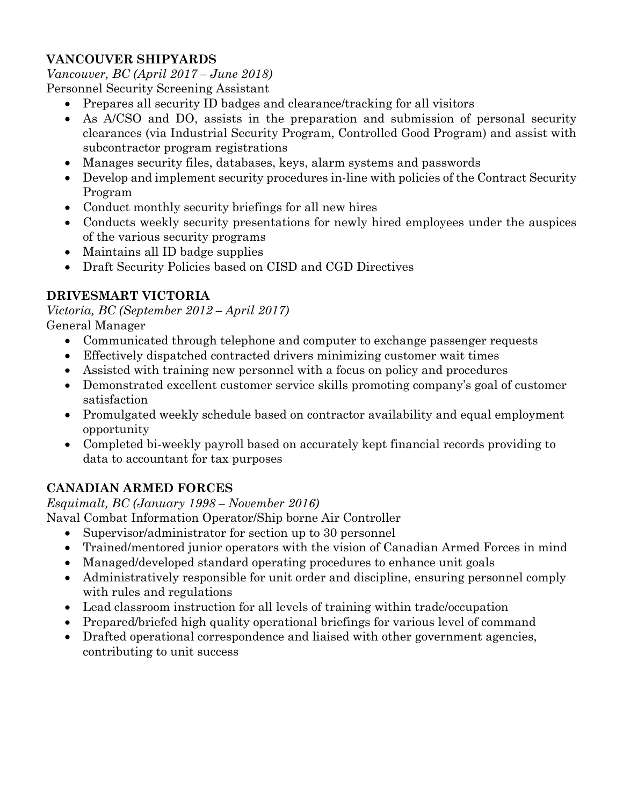## **VANCOUVER SHIPYARDS**

*Vancouver, BC (April 2017 – June 2018)*

Personnel Security Screening Assistant

- Prepares all security ID badges and clearance/tracking for all visitors
- As A/CSO and DO, assists in the preparation and submission of personal security clearances (via Industrial Security Program, Controlled Good Program) and assist with subcontractor program registrations
- Manages security files, databases, keys, alarm systems and passwords
- Develop and implement security procedures in-line with policies of the Contract Security Program
- Conduct monthly security briefings for all new hires
- Conducts weekly security presentations for newly hired employees under the auspices of the various security programs
- Maintains all ID badge supplies
- Draft Security Policies based on CISD and CGD Directives

# **DRIVESMART VICTORIA**

*Victoria, BC (September 2012 – April 2017)* General Manager

- Communicated through telephone and computer to exchange passenger requests
- Effectively dispatched contracted drivers minimizing customer wait times
- Assisted with training new personnel with a focus on policy and procedures
- Demonstrated excellent customer service skills promoting company's goal of customer satisfaction
- Promulgated weekly schedule based on contractor availability and equal employment opportunity
- Completed bi-weekly payroll based on accurately kept financial records providing to data to accountant for tax purposes

# **CANADIAN ARMED FORCES**

*Esquimalt, BC (January 1998 – November 2016)* 

- Naval Combat Information Operator/Ship borne Air Controller
	- Supervisor/administrator for section up to 30 personnel
	- Trained/mentored junior operators with the vision of Canadian Armed Forces in mind
	- Managed/developed standard operating procedures to enhance unit goals
	- Administratively responsible for unit order and discipline, ensuring personnel comply with rules and regulations
	- Lead classroom instruction for all levels of training within trade/occupation
	- Prepared/briefed high quality operational briefings for various level of command
	- Drafted operational correspondence and liaised with other government agencies, contributing to unit success